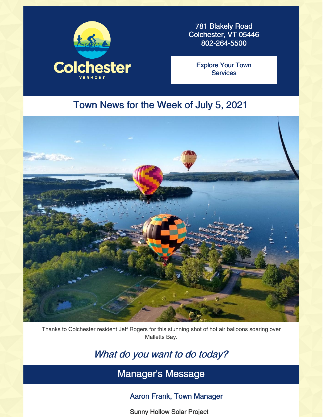

781 Blakely Road Colchester, VT 05446 802-264-5500

Explore Your Town **[Services](https://colchestervt.gov/35/Town-Services)** 

# Town News for the Week of July 5, 2021



Thanks to Colchester resident Jeff Rogers for this stunning shot of hot air balloons soaring over Malletts Bay.

# What do you want to do today?

Manager's Message

### Aaron Frank, Town Manager

Sunny Hollow Solar Project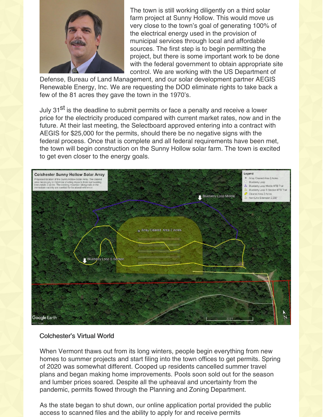

The town is still working diligently on a third solar farm project at Sunny Hollow. This would move us very close to the town's goal of generating 100% of the electrical energy used in the provision of municipal services through local and affordable sources. The first step is to begin permitting the project, but there is some important work to be done with the federal government to obtain appropriate site control. We are working with the US Department of

Defense, Bureau of Land Management, and our solar development partner AEGIS Renewable Energy, Inc. We are requesting the DOD eliminate rights to take back a few of the 81 acres they gave the town in the 1970's.

July 31<sup>st</sup> is the deadline to submit permits or face a penalty and receive a lower price for the electricity produced compared with current market rates, now and in the future. At their last meeting, the Selectboard approved entering into a contract with AEGIS for \$25,000 for the permits, should there be no negative signs with the federal process. Once that is complete and all federal requirements have been met, the town will begin construction on the Sunny Hollow solar farm. The town is excited to get even closer to the energy goals.



#### Colchester's Virtual World

When Vermont thaws out from its long winters, people begin everything from new homes to summer projects and start filing into the town offices to get permits. Spring of 2020 was somewhat different. Cooped up residents cancelled summer travel plans and began making home improvements. Pools soon sold out for the season and lumber prices soared. Despite all the upheaval and uncertainty from the pandemic, permits flowed through the Planning and Zoning Department.

As the state began to shut down, our online application portal provided the public access to scanned files and the ability to apply for and receive permits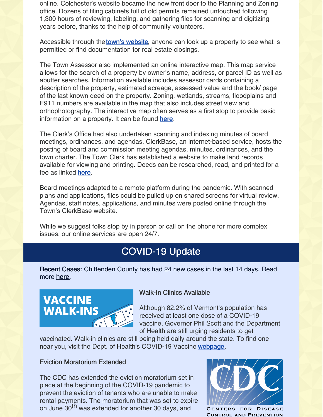online. Colchester's website became the new front door to the Planning and Zoning office. Dozens of filing cabinets full of old permits remained untouched following 1,300 hours of reviewing, labeling, and gathering files for scanning and digitizing years before, thanks to the help of community volunteers.

Accessible through the **town's [website](http://www.tinyurl.com/colchesterpermits)**, anyone can look up a property to see what is permitted or find documentation for real estate closings.

The Town Assessor also implemented an online interactive map. This map service allows for the search of a property by owner's name, address, or parcel ID as well as abutter searches. Information available includes assessor cards containing a description of the property, estimated acreage, assessed value and the book/ page of the last known deed on the property. Zoning, wetlands, streams, floodplains and E911 numbers are available in the map that also includes street view and orthophotography. The interactive map often serves as a first stop to provide basic information on a property. It can be found [here](https://www.axisgis.com/ColchesterVT/).

The Clerk's Office had also undertaken scanning and indexing minutes of board meetings, ordinances, and agendas. ClerkBase, an internet-based service, hosts the posting of board and commission meeting agendas, minutes, ordinances, and the town charter. The Town Clerk has established a website to make land records available for viewing and printing. Deeds can be researched, read, and printed for a fee as linked **[here](https://www.uslandrecords.com/uslr/UslrApp/index.jsp)**.

Board meetings adapted to a remote platform during the pandemic. With scanned plans and applications, files could be pulled up on shared screens for virtual review. Agendas, staff notes, applications, and minutes were posted online through the Town's ClerkBase website.

While we suggest folks stop by in person or call on the phone for more complex issues, our online services are open 24/7.

# COVID-19 Update

Recent Cases: Chittenden County has had 24 new cases in the last 14 days. Read more [here](https://www.healthvermont.gov/covid-19/current-activity/vermont-dashboard).



### Walk-In Clinics Available

Although 82.2% of Vermont's population has received at least one dose of a COVID-19 vaccine, Governor Phil Scott and the Department of Health are still urging residents to get

vaccinated. Walk-in clinics are still being held daily around the state. To find one near you, visit the Dept. of Health's COVID-19 Vaccine [webpage](https://www.healthvermont.gov/covid-19/vaccine/getting-covid-19-vaccine).

### Eviction Moratorium Extended

The CDC has extended the eviction moratorium set in place at the beginning of the COVID-19 pandemic to prevent the eviction of tenants who are unable to make rental payments. The moratorium that was set to expire on June 30<sup>th</sup> was extended for another 30 days, and



CENTERS FOR DISEASE **AND PREVENTION**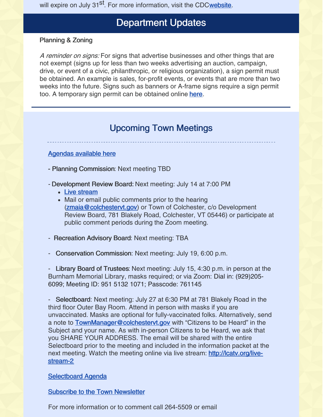will expire on July 31<sup>st</sup>. For more information, visit the CD[Cwebsite](https://www.cdc.gov/media/releases/2021/s0624-eviction-moratorium.html).

## Department Updates

### Planning & Zoning

A reminder on signs: For signs that advertise businesses and other things that are not exempt (signs up for less than two weeks advertising an auction, campaign, drive, or event of a civic, philanthropic, or religious organization), a sign permit must be obtained. An example is sales, for-profit events, or events that are more than two weeks into the future. Signs such as banners or A-frame signs require a sign permit too. A temporary sign permit can be obtained online [here](http://www.tinyurl.com/colchestersigns).

## Upcoming Town Meetings

#### [Agendas](https://clerkshq.com/Colchester-vt) available here

- Planning Commission: Next meeting TBD
- Development Review Board: Next meeting: July 14 at 7:00 PM
	- Live [stream](http://lcatv.org/live-stream-2)
	- Mail or email public comments prior to the hearing [\(zmaia@colchestervt.gov](mailto:zmaia@colchestervt.gov)) or Town of Colchester, c/o Development Review Board, 781 Blakely Road, Colchester, VT 05446) or participate at public comment periods during the Zoom meeting.
- Recreation Advisory Board: Next meeting: TBA
- Conservation Commission: Next meeting: July 19, 6:00 p.m.

- Library Board of Trustees: Next meeting: July 15, 4:30 p.m. in person at the Burnham Memorial Library, masks required; or via Zoom: Dial in: (929)205- 6099; Meeting ID: 951 5132 1071; Passcode: 761145

- Selectboard: Next meeting: July 27 at 6:30 PM at 781 Blakely Road in the third floor Outer Bay Room. Attend in person with masks if you are unvaccinated. Masks are optional for fully-vaccinated folks. Alternatively, send a note to **[TownManager@colchestervt.gov](mailto:TownManager@colchestervt.gov)** with "Citizens to be Heard" in the Subject and your name. As with in-person Citizens to be Heard, we ask that you SHARE YOUR ADDRESS. The email will be shared with the entire Selectboard prior to the meeting and included in the information packet at the next meeting. Watch the meeting online via live stream: [http://lcatv.org/live](http://lcatv.org/live-stream-2)stream-2

#### [Selectboard](http://www.bit.ly/Colchester-SB-Agendas) Agenda

Subscribe to the Town [Newsletter](https://lp.constantcontactpages.com/su/jkMAO2v?source_id=0a83e406-428f-4762-9ede-f48a5c2495eb&source_type=em&c=)

For more information or to comment call 264-5509 or email